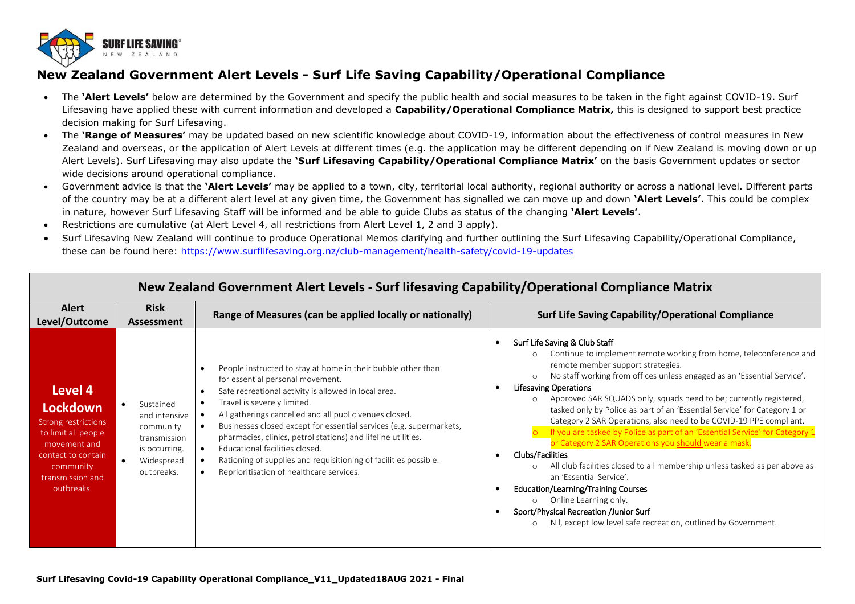

## **New Zealand Government Alert Levels - Surf Life Saving Capability/Operational Compliance**

- The **'Alert Levels'** below are determined by the Government and specify the public health and social measures to be taken in the fight against COVID-19. Surf Lifesaving have applied these with current information and developed a **Capability/Operational Compliance Matrix,** this is designed to support best practice decision making for Surf Lifesaving.
- The **'Range of Measures'** may be updated based on new scientific knowledge about COVID-19, information about the effectiveness of control measures in New Zealand and overseas, or the application of Alert Levels at different times (e.g. the application may be different depending on if New Zealand is moving down or up Alert Levels). Surf Lifesaving may also update the **'Surf Lifesaving Capability/Operational Compliance Matrix'** on the basis Government updates or sector wide decisions around operational compliance.
- Government advice is that the **'Alert Levels'** may be applied to a town, city, territorial local authority, regional authority or across a national level. Different parts of the country may be at a different alert level at any given time, the Government has signalled we can move up and down **'Alert Levels'**. This could be complex in nature, however Surf Lifesaving Staff will be informed and be able to guide Clubs as status of the changing **'Alert Levels'**.
- Restrictions are cumulative (at Alert Level 4, all restrictions from Alert Level 1, 2 and 3 apply).
- Surf Lifesaving New Zealand will continue to produce Operational Memos clarifying and further outlining the Surf Lifesaving Capability/Operational Compliance, these can be found here:<https://www.surflifesaving.org.nz/club-management/health-safety/covid-19-updates>

| New Zealand Government Alert Levels - Surf lifesaving Capability/Operational Compliance Matrix                                                                |                                                                                                      |                                                                                                                                                                                                                                                                                                                                                                                                                                                                                                                                                                                                 |                                                                                                                                                                                                                                                                                                                                                                                                                                                                                                                                                                                                                                                                                                                                                                                                                                                                                                                                                                                              |
|---------------------------------------------------------------------------------------------------------------------------------------------------------------|------------------------------------------------------------------------------------------------------|-------------------------------------------------------------------------------------------------------------------------------------------------------------------------------------------------------------------------------------------------------------------------------------------------------------------------------------------------------------------------------------------------------------------------------------------------------------------------------------------------------------------------------------------------------------------------------------------------|----------------------------------------------------------------------------------------------------------------------------------------------------------------------------------------------------------------------------------------------------------------------------------------------------------------------------------------------------------------------------------------------------------------------------------------------------------------------------------------------------------------------------------------------------------------------------------------------------------------------------------------------------------------------------------------------------------------------------------------------------------------------------------------------------------------------------------------------------------------------------------------------------------------------------------------------------------------------------------------------|
| <b>Alert</b><br>Level/Outcome                                                                                                                                 | <b>Risk</b><br><b>Assessment</b>                                                                     | Range of Measures (can be applied locally or nationally)                                                                                                                                                                                                                                                                                                                                                                                                                                                                                                                                        | <b>Surf Life Saving Capability/Operational Compliance</b>                                                                                                                                                                                                                                                                                                                                                                                                                                                                                                                                                                                                                                                                                                                                                                                                                                                                                                                                    |
| Level 4<br>Lockdown<br><b>Strong restrictions</b><br>to limit all people<br>movement and<br>contact to contain<br>community<br>transmission and<br>outbreaks. | Sustained<br>and intensive<br>community<br>transmission<br>is occurring.<br>Widespread<br>outbreaks. | People instructed to stay at home in their bubble other than<br>for essential personal movement.<br>Safe recreational activity is allowed in local area.<br>Travel is severely limited.<br>$\bullet$<br>All gatherings cancelled and all public venues closed.<br>$\bullet$<br>Businesses closed except for essential services (e.g. supermarkets,<br>pharmacies, clinics, petrol stations) and lifeline utilities.<br>Educational facilities closed.<br>Rationing of supplies and requisitioning of facilities possible.<br>$\bullet$<br>Reprioritisation of healthcare services.<br>$\bullet$ | Surf Life Saving & Club Staff<br>Continue to implement remote working from home, teleconference and<br>$\Omega$<br>remote member support strategies.<br>No staff working from offices unless engaged as an 'Essential Service'.<br>$\circ$<br><b>Lifesaving Operations</b><br>Approved SAR SQUADS only, squads need to be; currently registered,<br>$\circ$<br>tasked only by Police as part of an 'Essential Service' for Category 1 or<br>Category 2 SAR Operations, also need to be COVID-19 PPE compliant.<br>If you are tasked by Police as part of an 'Essential Service' for Category 1<br>or Category 2 SAR Operations you should wear a mask.<br><b>Clubs/Facilities</b><br>All club facilities closed to all membership unless tasked as per above as<br>an 'Essential Service'.<br>Education/Learning/Training Courses<br>Online Learning only.<br>$\circ$<br>Sport/Physical Recreation /Junior Surf<br>Nil, except low level safe recreation, outlined by Government.<br>$\circ$ |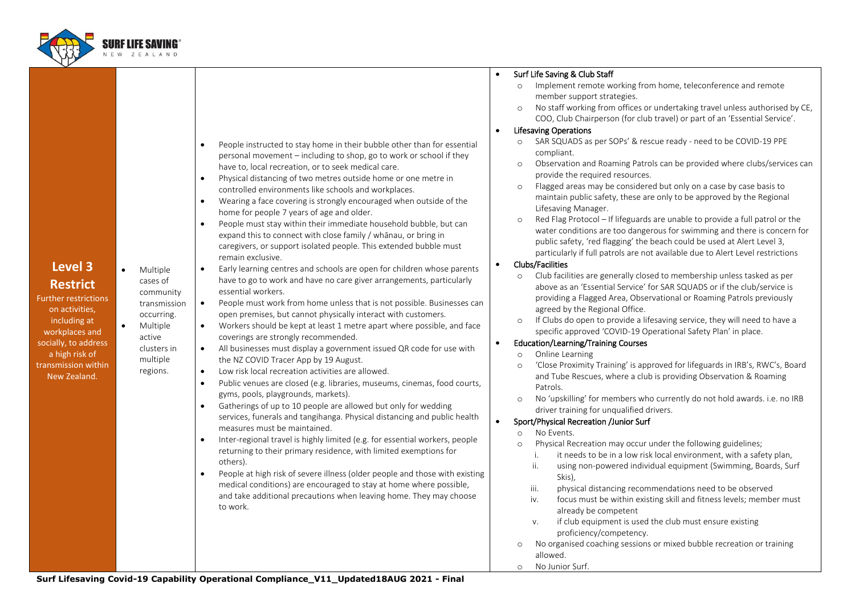

 $Furth$ 

wor social a l transm Ne

|                                                                                                                                                                                             |                                                                                                                                                        |                                                                                                                                                                                                                                                                                                                                                                                                                                                                                                                                                                                                                                                                                                                                                                                                                                                                                                                                                                                                                                                                                                                                                                                                                                                                                                                                                                                                                                                                                                                                                                                                                                                                                                                                                                                                                                                                                                                                                                                                                        | Surf Life Saving & Club Staff<br>$\bullet$                                                                                                                                                                                                                                                                                                                                                                                                                                                                                                                                                                                                                                                                                                                                                                                                                                                                                                                                                                                                                                                                                                                                                                                                                                                                                                                                                                                                                                                                                                                                                                                                                                                                                                                                                                                                                                                                                                                                                                                                                 |
|---------------------------------------------------------------------------------------------------------------------------------------------------------------------------------------------|--------------------------------------------------------------------------------------------------------------------------------------------------------|------------------------------------------------------------------------------------------------------------------------------------------------------------------------------------------------------------------------------------------------------------------------------------------------------------------------------------------------------------------------------------------------------------------------------------------------------------------------------------------------------------------------------------------------------------------------------------------------------------------------------------------------------------------------------------------------------------------------------------------------------------------------------------------------------------------------------------------------------------------------------------------------------------------------------------------------------------------------------------------------------------------------------------------------------------------------------------------------------------------------------------------------------------------------------------------------------------------------------------------------------------------------------------------------------------------------------------------------------------------------------------------------------------------------------------------------------------------------------------------------------------------------------------------------------------------------------------------------------------------------------------------------------------------------------------------------------------------------------------------------------------------------------------------------------------------------------------------------------------------------------------------------------------------------------------------------------------------------------------------------------------------------|------------------------------------------------------------------------------------------------------------------------------------------------------------------------------------------------------------------------------------------------------------------------------------------------------------------------------------------------------------------------------------------------------------------------------------------------------------------------------------------------------------------------------------------------------------------------------------------------------------------------------------------------------------------------------------------------------------------------------------------------------------------------------------------------------------------------------------------------------------------------------------------------------------------------------------------------------------------------------------------------------------------------------------------------------------------------------------------------------------------------------------------------------------------------------------------------------------------------------------------------------------------------------------------------------------------------------------------------------------------------------------------------------------------------------------------------------------------------------------------------------------------------------------------------------------------------------------------------------------------------------------------------------------------------------------------------------------------------------------------------------------------------------------------------------------------------------------------------------------------------------------------------------------------------------------------------------------------------------------------------------------------------------------------------------------|
|                                                                                                                                                                                             |                                                                                                                                                        |                                                                                                                                                                                                                                                                                                                                                                                                                                                                                                                                                                                                                                                                                                                                                                                                                                                                                                                                                                                                                                                                                                                                                                                                                                                                                                                                                                                                                                                                                                                                                                                                                                                                                                                                                                                                                                                                                                                                                                                                                        | Implement remote working from home, teleconference and remote<br>$\circ$                                                                                                                                                                                                                                                                                                                                                                                                                                                                                                                                                                                                                                                                                                                                                                                                                                                                                                                                                                                                                                                                                                                                                                                                                                                                                                                                                                                                                                                                                                                                                                                                                                                                                                                                                                                                                                                                                                                                                                                   |
|                                                                                                                                                                                             |                                                                                                                                                        |                                                                                                                                                                                                                                                                                                                                                                                                                                                                                                                                                                                                                                                                                                                                                                                                                                                                                                                                                                                                                                                                                                                                                                                                                                                                                                                                                                                                                                                                                                                                                                                                                                                                                                                                                                                                                                                                                                                                                                                                                        | member support strategies.                                                                                                                                                                                                                                                                                                                                                                                                                                                                                                                                                                                                                                                                                                                                                                                                                                                                                                                                                                                                                                                                                                                                                                                                                                                                                                                                                                                                                                                                                                                                                                                                                                                                                                                                                                                                                                                                                                                                                                                                                                 |
|                                                                                                                                                                                             |                                                                                                                                                        |                                                                                                                                                                                                                                                                                                                                                                                                                                                                                                                                                                                                                                                                                                                                                                                                                                                                                                                                                                                                                                                                                                                                                                                                                                                                                                                                                                                                                                                                                                                                                                                                                                                                                                                                                                                                                                                                                                                                                                                                                        | No staff working from offices or undertaking travel unless authorised by CE,<br>$\circ$                                                                                                                                                                                                                                                                                                                                                                                                                                                                                                                                                                                                                                                                                                                                                                                                                                                                                                                                                                                                                                                                                                                                                                                                                                                                                                                                                                                                                                                                                                                                                                                                                                                                                                                                                                                                                                                                                                                                                                    |
|                                                                                                                                                                                             |                                                                                                                                                        |                                                                                                                                                                                                                                                                                                                                                                                                                                                                                                                                                                                                                                                                                                                                                                                                                                                                                                                                                                                                                                                                                                                                                                                                                                                                                                                                                                                                                                                                                                                                                                                                                                                                                                                                                                                                                                                                                                                                                                                                                        |                                                                                                                                                                                                                                                                                                                                                                                                                                                                                                                                                                                                                                                                                                                                                                                                                                                                                                                                                                                                                                                                                                                                                                                                                                                                                                                                                                                                                                                                                                                                                                                                                                                                                                                                                                                                                                                                                                                                                                                                                                                            |
|                                                                                                                                                                                             |                                                                                                                                                        |                                                                                                                                                                                                                                                                                                                                                                                                                                                                                                                                                                                                                                                                                                                                                                                                                                                                                                                                                                                                                                                                                                                                                                                                                                                                                                                                                                                                                                                                                                                                                                                                                                                                                                                                                                                                                                                                                                                                                                                                                        | $\bullet$                                                                                                                                                                                                                                                                                                                                                                                                                                                                                                                                                                                                                                                                                                                                                                                                                                                                                                                                                                                                                                                                                                                                                                                                                                                                                                                                                                                                                                                                                                                                                                                                                                                                                                                                                                                                                                                                                                                                                                                                                                                  |
| Level 3<br><b>Restrict</b><br>ther restrictions<br>on activities,<br>including at<br>orkplaces and<br>ially, to address<br>a high risk of<br><b>Ismission within</b><br><b>New Zealand.</b> | Multiple<br>$\bullet$<br>cases of<br>community<br>transmission<br>occurring.<br>$\bullet$<br>Multiple<br>active<br>clusters in<br>multiple<br>regions. | People instructed to stay home in their bubble other than for essential<br>$\bullet$<br>personal movement - including to shop, go to work or school if they<br>have to, local recreation, or to seek medical care.<br>Physical distancing of two metres outside home or one metre in<br>$\bullet$<br>controlled environments like schools and workplaces.<br>Wearing a face covering is strongly encouraged when outside of the<br>$\bullet$<br>home for people 7 years of age and older.<br>People must stay within their immediate household bubble, but can<br>$\bullet$<br>expand this to connect with close family / whānau, or bring in<br>caregivers, or support isolated people. This extended bubble must<br>remain exclusive.<br>Early learning centres and schools are open for children whose parents<br>$\bullet$<br>have to go to work and have no care giver arrangements, particularly<br>essential workers.<br>People must work from home unless that is not possible. Businesses can<br>$\bullet$<br>open premises, but cannot physically interact with customers.<br>Workers should be kept at least 1 metre apart where possible, and face<br>$\bullet$<br>coverings are strongly recommended.<br>All businesses must display a government issued QR code for use with<br>$\bullet$<br>the NZ COVID Tracer App by 19 August.<br>Low risk local recreation activities are allowed.<br>$\bullet$<br>Public venues are closed (e.g. libraries, museums, cinemas, food courts,<br>$\bullet$<br>gyms, pools, playgrounds, markets).<br>Gatherings of up to 10 people are allowed but only for wedding<br>$\bullet$<br>services, funerals and tangihanga. Physical distancing and public health<br>measures must be maintained.<br>Inter-regional travel is highly limited (e.g. for essential workers, people<br>$\bullet$<br>returning to their primary residence, with limited exemptions for<br>others).<br>People at high risk of severe illness (older people and those with existing<br>$\bullet$ | COO, Club Chairperson (for club travel) or part of an 'Essential Service'.<br><b>Lifesaving Operations</b><br>SAR SQUADS as per SOPs' & rescue ready - need to be COVID-19 PPE<br>compliant.<br>Observation and Roaming Patrols can be provided where clubs/services can<br>$\circ$<br>provide the required resources.<br>Flagged areas may be considered but only on a case by case basis to<br>$\circ$<br>maintain public safety, these are only to be approved by the Regional<br>Lifesaving Manager.<br>Red Flag Protocol - If lifeguards are unable to provide a full patrol or the<br>$\circ$<br>water conditions are too dangerous for swimming and there is concern for<br>public safety, 'red flagging' the beach could be used at Alert Level 3,<br>particularly if full patrols are not available due to Alert Level restrictions<br>Clubs/Facilities<br>$\bullet$<br>Club facilities are generally closed to membership unless tasked as per<br>$\circ$<br>above as an 'Essential Service' for SAR SQUADS or if the club/service is<br>providing a Flagged Area, Observational or Roaming Patrols previously<br>agreed by the Regional Office.<br>If Clubs do open to provide a lifesaving service, they will need to have a<br>$\circ$<br>specific approved 'COVID-19 Operational Safety Plan' in place.<br><b>Education/Learning/Training Courses</b><br>$\bullet$<br>Online Learning<br>$\circ$<br>'Close Proximity Training' is approved for lifeguards in IRB's, RWC's, Board<br>$\circ$<br>and Tube Rescues, where a club is providing Observation & Roaming<br>Patrols.<br>No 'upskilling' for members who currently do not hold awards. i.e. no IRB<br>$\circ$<br>driver training for unqualified drivers.<br>Sport/Physical Recreation /Junior Surf<br>$\bullet$<br>No Events.<br>$\circ$<br>Physical Recreation may occur under the following guidelines;<br>$\circ$<br>it needs to be in a low risk local environment, with a safety plan,<br>i.<br>ii.<br>using non-powered individual equipment (Swimming, Boards, Surf<br>Skis), |
|                                                                                                                                                                                             |                                                                                                                                                        | medical conditions) are encouraged to stay at home where possible,                                                                                                                                                                                                                                                                                                                                                                                                                                                                                                                                                                                                                                                                                                                                                                                                                                                                                                                                                                                                                                                                                                                                                                                                                                                                                                                                                                                                                                                                                                                                                                                                                                                                                                                                                                                                                                                                                                                                                     | physical distancing recommendations need to be observed<br>iii.                                                                                                                                                                                                                                                                                                                                                                                                                                                                                                                                                                                                                                                                                                                                                                                                                                                                                                                                                                                                                                                                                                                                                                                                                                                                                                                                                                                                                                                                                                                                                                                                                                                                                                                                                                                                                                                                                                                                                                                            |
|                                                                                                                                                                                             |                                                                                                                                                        | and take additional precautions when leaving home. They may choose<br>to work.                                                                                                                                                                                                                                                                                                                                                                                                                                                                                                                                                                                                                                                                                                                                                                                                                                                                                                                                                                                                                                                                                                                                                                                                                                                                                                                                                                                                                                                                                                                                                                                                                                                                                                                                                                                                                                                                                                                                         | focus must be within existing skill and fitness levels; member must<br>iv.<br>already be competent                                                                                                                                                                                                                                                                                                                                                                                                                                                                                                                                                                                                                                                                                                                                                                                                                                                                                                                                                                                                                                                                                                                                                                                                                                                                                                                                                                                                                                                                                                                                                                                                                                                                                                                                                                                                                                                                                                                                                         |
|                                                                                                                                                                                             |                                                                                                                                                        |                                                                                                                                                                                                                                                                                                                                                                                                                                                                                                                                                                                                                                                                                                                                                                                                                                                                                                                                                                                                                                                                                                                                                                                                                                                                                                                                                                                                                                                                                                                                                                                                                                                                                                                                                                                                                                                                                                                                                                                                                        | if club equipment is used the club must ensure existing<br>V.                                                                                                                                                                                                                                                                                                                                                                                                                                                                                                                                                                                                                                                                                                                                                                                                                                                                                                                                                                                                                                                                                                                                                                                                                                                                                                                                                                                                                                                                                                                                                                                                                                                                                                                                                                                                                                                                                                                                                                                              |
|                                                                                                                                                                                             |                                                                                                                                                        |                                                                                                                                                                                                                                                                                                                                                                                                                                                                                                                                                                                                                                                                                                                                                                                                                                                                                                                                                                                                                                                                                                                                                                                                                                                                                                                                                                                                                                                                                                                                                                                                                                                                                                                                                                                                                                                                                                                                                                                                                        | proficiency/competency.                                                                                                                                                                                                                                                                                                                                                                                                                                                                                                                                                                                                                                                                                                                                                                                                                                                                                                                                                                                                                                                                                                                                                                                                                                                                                                                                                                                                                                                                                                                                                                                                                                                                                                                                                                                                                                                                                                                                                                                                                                    |
|                                                                                                                                                                                             |                                                                                                                                                        |                                                                                                                                                                                                                                                                                                                                                                                                                                                                                                                                                                                                                                                                                                                                                                                                                                                                                                                                                                                                                                                                                                                                                                                                                                                                                                                                                                                                                                                                                                                                                                                                                                                                                                                                                                                                                                                                                                                                                                                                                        | No organised coaching sessions or mixed bubble recreation or training<br>$\circ$                                                                                                                                                                                                                                                                                                                                                                                                                                                                                                                                                                                                                                                                                                                                                                                                                                                                                                                                                                                                                                                                                                                                                                                                                                                                                                                                                                                                                                                                                                                                                                                                                                                                                                                                                                                                                                                                                                                                                                           |
|                                                                                                                                                                                             |                                                                                                                                                        |                                                                                                                                                                                                                                                                                                                                                                                                                                                                                                                                                                                                                                                                                                                                                                                                                                                                                                                                                                                                                                                                                                                                                                                                                                                                                                                                                                                                                                                                                                                                                                                                                                                                                                                                                                                                                                                                                                                                                                                                                        | allowed.                                                                                                                                                                                                                                                                                                                                                                                                                                                                                                                                                                                                                                                                                                                                                                                                                                                                                                                                                                                                                                                                                                                                                                                                                                                                                                                                                                                                                                                                                                                                                                                                                                                                                                                                                                                                                                                                                                                                                                                                                                                   |
|                                                                                                                                                                                             |                                                                                                                                                        |                                                                                                                                                                                                                                                                                                                                                                                                                                                                                                                                                                                                                                                                                                                                                                                                                                                                                                                                                                                                                                                                                                                                                                                                                                                                                                                                                                                                                                                                                                                                                                                                                                                                                                                                                                                                                                                                                                                                                                                                                        | No Junior Surf.<br>$\circ$                                                                                                                                                                                                                                                                                                                                                                                                                                                                                                                                                                                                                                                                                                                                                                                                                                                                                                                                                                                                                                                                                                                                                                                                                                                                                                                                                                                                                                                                                                                                                                                                                                                                                                                                                                                                                                                                                                                                                                                                                                 |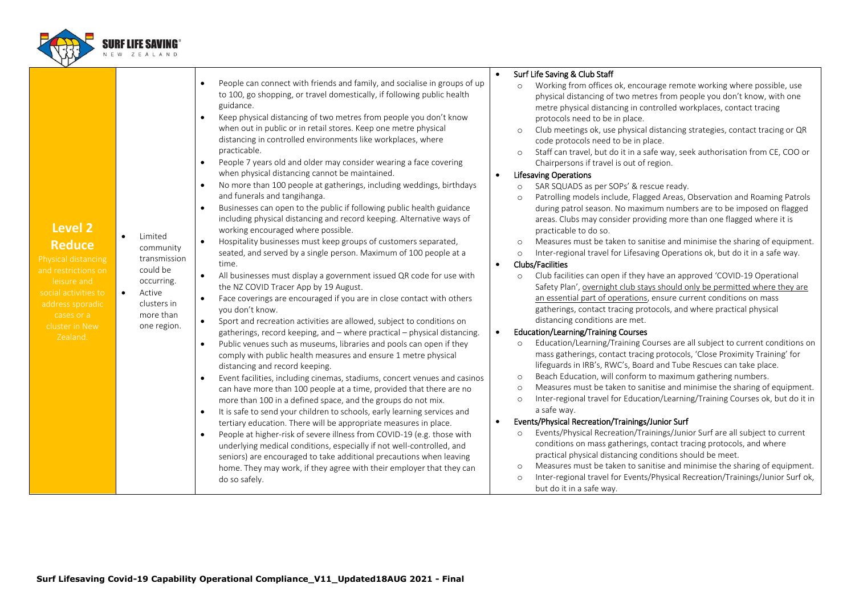

|                      |           |                           |           |                                                                                                                                                                   |           | Surf Life Saving & Club Staff                                                                                                                                                                                                     |
|----------------------|-----------|---------------------------|-----------|-------------------------------------------------------------------------------------------------------------------------------------------------------------------|-----------|-----------------------------------------------------------------------------------------------------------------------------------------------------------------------------------------------------------------------------------|
|                      |           |                           | $\bullet$ | People can connect with friends and family, and socialise in groups of up<br>to 100, go shopping, or travel domestically, if following public health<br>guidance. |           | Working from offices ok, encourage remote working where possible, use<br>$\circ$<br>physical distancing of two metres from people you don't know, with one<br>metre physical distancing in controlled workplaces, contact tracing |
|                      |           |                           |           | Keep physical distancing of two metres from people you don't know                                                                                                 |           | protocols need to be in place.                                                                                                                                                                                                    |
|                      |           |                           |           | when out in public or in retail stores. Keep one metre physical                                                                                                   |           | Club meetings ok, use physical distancing strategies, contact tracing or QR<br>$\circ$                                                                                                                                            |
|                      |           |                           |           | distancing in controlled environments like workplaces, where<br>practicable.                                                                                      |           | code protocols need to be in place.                                                                                                                                                                                               |
|                      |           |                           | $\bullet$ | People 7 years old and older may consider wearing a face covering                                                                                                 |           | Staff can travel, but do it in a safe way, seek authorisation from CE, COO or<br>$\circ$<br>Chairpersons if travel is out of region.                                                                                              |
|                      |           |                           |           | when physical distancing cannot be maintained.                                                                                                                    | $\bullet$ | <b>Lifesaving Operations</b>                                                                                                                                                                                                      |
|                      |           |                           | $\bullet$ | No more than 100 people at gatherings, including weddings, birthdays                                                                                              |           | SAR SQUADS as per SOPs' & rescue ready.<br>$\circ$                                                                                                                                                                                |
|                      |           |                           |           | and funerals and tangihanga.                                                                                                                                      |           | Patrolling models include, Flagged Areas, Observation and Roaming Patrols<br>$\circ$                                                                                                                                              |
|                      |           |                           | $\bullet$ | Businesses can open to the public if following public health guidance                                                                                             |           | during patrol season. No maximum numbers are to be imposed on flagged                                                                                                                                                             |
| Level 2              |           |                           |           | including physical distancing and record keeping. Alternative ways of<br>working encouraged where possible.                                                       |           | areas. Clubs may consider providing more than one flagged where it is<br>practicable to do so.                                                                                                                                    |
| <b>Reduce</b>        | $\bullet$ | Limited                   | $\bullet$ | Hospitality businesses must keep groups of customers separated,                                                                                                   |           | Measures must be taken to sanitise and minimise the sharing of equipment.<br>$\circ$                                                                                                                                              |
| Physical distancing  |           | community<br>transmission |           | seated, and served by a single person. Maximum of 100 people at a                                                                                                 |           | Inter-regional travel for Lifesaving Operations ok, but do it in a safe way.<br>$\circ$                                                                                                                                           |
| and restrictions on  |           | could be                  |           | time.                                                                                                                                                             | $\bullet$ | <b>Clubs/Facilities</b>                                                                                                                                                                                                           |
| leisure and          |           | occurring.                | $\bullet$ | All businesses must display a government issued QR code for use with                                                                                              |           | Club facilities can open if they have an approved 'COVID-19 Operational<br>$\circ$                                                                                                                                                |
| social activities to |           | Active                    |           | the NZ COVID Tracer App by 19 August.                                                                                                                             |           | Safety Plan', overnight club stays should only be permitted where they are                                                                                                                                                        |
| address sporadic     |           | clusters in               | $\bullet$ | Face coverings are encouraged if you are in close contact with others<br>you don't know.                                                                          |           | an essential part of operations, ensure current conditions on mass<br>gatherings, contact tracing protocols, and where practical physical                                                                                         |
| cases or a           |           | more than                 | $\bullet$ | Sport and recreation activities are allowed, subject to conditions on                                                                                             |           | distancing conditions are met.                                                                                                                                                                                                    |
| cluster in New       |           | one region.               |           | gatherings, record keeping, and - where practical - physical distancing.                                                                                          | $\bullet$ | Education/Learning/Training Courses                                                                                                                                                                                               |
| Zealand.             |           |                           | $\bullet$ | Public venues such as museums, libraries and pools can open if they                                                                                               |           | Education/Learning/Training Courses are all subject to current conditions on<br>$\circ$                                                                                                                                           |
|                      |           |                           |           | comply with public health measures and ensure 1 metre physical<br>distancing and record keeping.                                                                  |           | mass gatherings, contact tracing protocols, 'Close Proximity Training' for<br>lifeguards in IRB's, RWC's, Board and Tube Rescues can take place.                                                                                  |
|                      |           |                           | $\bullet$ | Event facilities, including cinemas, stadiums, concert venues and casinos                                                                                         |           | Beach Education, will conform to maximum gathering numbers.<br>$\circ$                                                                                                                                                            |
|                      |           |                           |           | can have more than 100 people at a time, provided that there are no                                                                                               |           | Measures must be taken to sanitise and minimise the sharing of equipment.<br>$\circ$                                                                                                                                              |
|                      |           |                           |           | more than 100 in a defined space, and the groups do not mix.                                                                                                      |           | Inter-regional travel for Education/Learning/Training Courses ok, but do it in<br>$\circ$                                                                                                                                         |
|                      |           |                           | $\bullet$ | It is safe to send your children to schools, early learning services and                                                                                          |           | a safe way.                                                                                                                                                                                                                       |
|                      |           |                           |           | tertiary education. There will be appropriate measures in place.                                                                                                  | $\bullet$ | Events/Physical Recreation/Trainings/Junior Surf                                                                                                                                                                                  |
|                      |           |                           | $\bullet$ | People at higher-risk of severe illness from COVID-19 (e.g. those with<br>underlying medical conditions, especially if not well-controlled, and                   |           | Events/Physical Recreation/Trainings/Junior Surf are all subject to current<br>$\circ$<br>conditions on mass gatherings, contact tracing protocols, and where                                                                     |
|                      |           |                           |           | seniors) are encouraged to take additional precautions when leaving                                                                                               |           | practical physical distancing conditions should be meet.                                                                                                                                                                          |
|                      |           |                           |           | home. They may work, if they agree with their employer that they can                                                                                              |           | Measures must be taken to sanitise and minimise the sharing of equipment.<br>$\circ$                                                                                                                                              |
|                      |           |                           |           | do so safely.                                                                                                                                                     |           | Inter-regional travel for Events/Physical Recreation/Trainings/Junior Surf ok,<br>$\circ$<br>but do it in a safe way.                                                                                                             |